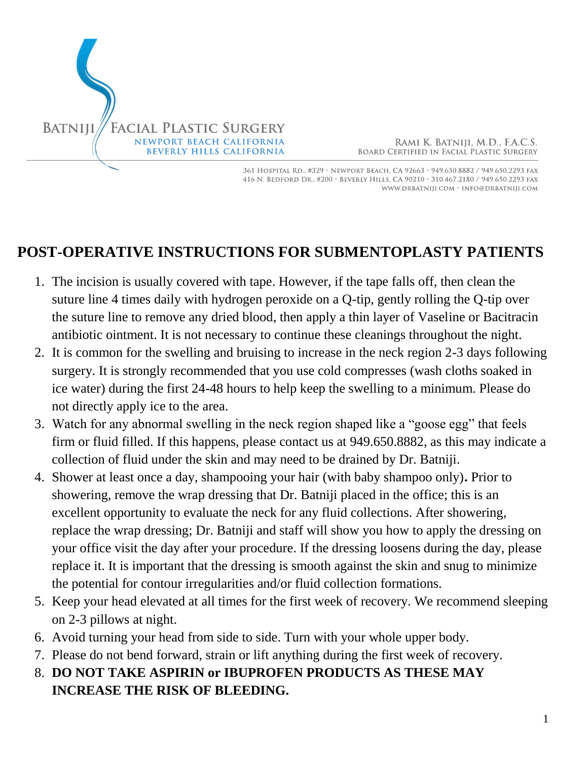

RAMI K. BATNIJI, M.D., F.A.C.S. **BOARD CERTIFIED IN FACIAL PLASTIC SURGERY** 

361 HOSPITAL RD., #329 · NEWPORT BEACH, CA 92663 · 949.650.8882 / 949.650.2293 FAX 416 N. BEDFORD DR., #200 · BEVERLY HILLS, CA 90210 · 310.467.2180 / 949.650.2293 FAX WWW.DRBATNIJI.COM · INFO@DRBATNIJI.COM

## **POST-OPERATIVE INSTRUCTIONS FOR SUBMENTOPLASTY PATIENTS**

- 1. The incision is usually covered with tape. However, if the tape falls off, then clean the suture line 4 times daily with hydrogen peroxide on a Q-tip, gently rolling the Q-tip over the suture line to remove any dried blood, then apply a thin layer of Vaseline or Bacitracin antibiotic ointment. It is not necessary to continue these cleanings throughout the night.
- 2. It is common for the swelling and bruising to increase in the neck region 2-3 days following surgery. It is strongly recommended that you use cold compresses (wash cloths soaked in ice water) during the first 24-48 hours to help keep the swelling to a minimum. Please do not directly apply ice to the area.
- 3. Watch for any abnormal swelling in the neck region shaped like a "goose egg" that feels firm or fluid filled. If this happens, please contact us at 949.650.8882, as this may indicate a collection of fluid under the skin and may need to be drained by Dr. Batniji.
- 4. Shower at least once a day, shampooing your hair (with baby shampoo only)**.** Prior to showering, remove the wrap dressing that Dr. Batniji placed in the office; this is an excellent opportunity to evaluate the neck for any fluid collections. After showering, replace the wrap dressing; Dr. Batniji and staff will show you how to apply the dressing on your office visit the day after your procedure. If the dressing loosens during the day, please replace it. It is important that the dressing is smooth against the skin and snug to minimize the potential for contour irregularities and/or fluid collection formations.
- 5. Keep your head elevated at all times for the first week of recovery. We recommend sleeping on 2-3 pillows at night.
- 6. Avoid turning your head from side to side. Turn with your whole upper body.
- 7. Please do not bend forward, strain or lift anything during the first week of recovery.
- 8. **DO NOT TAKE ASPIRIN or IBUPROFEN PRODUCTS AS THESE MAY INCREASE THE RISK OF BLEEDING.**